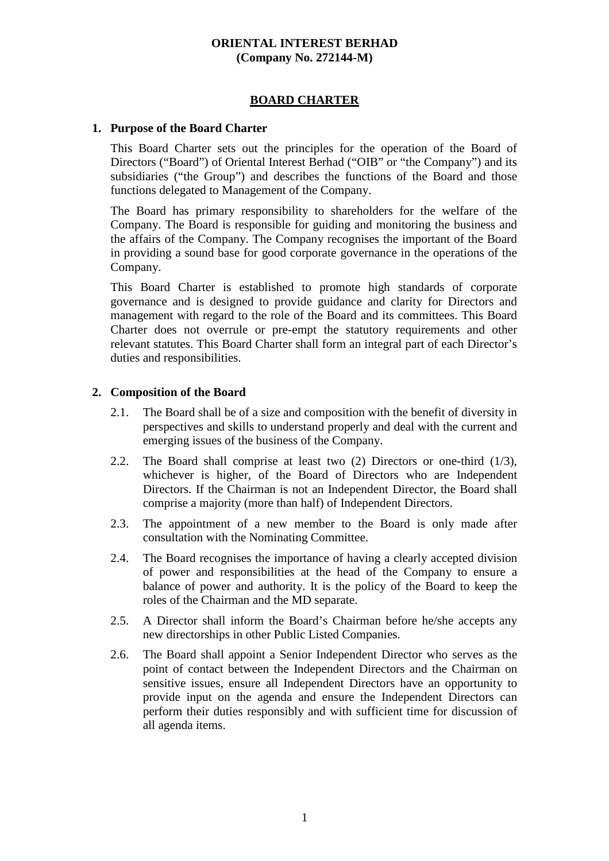### **ORIENTAL INTEREST BERHAD (Company No. 272144-M)**

## **BOARD CHARTER**

### **1. Purpose of the Board Charter**

This Board Charter sets out the principles for the operation of the Board of Directors ("Board") of Oriental Interest Berhad ("OIB" or "the Company") and its subsidiaries ("the Group") and describes the functions of the Board and those functions delegated to Management of the Company.

The Board has primary responsibility to shareholders for the welfare of the Company. The Board is responsible for guiding and monitoring the business and the affairs of the Company. The Company recognises the important of the Board in providing a sound base for good corporate governance in the operations of the Company.

This Board Charter is established to promote high standards of corporate governance and is designed to provide guidance and clarity for Directors and management with regard to the role of the Board and its committees. This Board Charter does not overrule or pre-empt the statutory requirements and other relevant statutes. This Board Charter shall form an integral part of each Director's duties and responsibilities.

## **2. Composition of the Board**

- 2.1. The Board shall be of a size and composition with the benefit of diversity in perspectives and skills to understand properly and deal with the current and emerging issues of the business of the Company.
- 2.2. The Board shall comprise at least two (2) Directors or one-third (1/3), whichever is higher, of the Board of Directors who are Independent Directors. If the Chairman is not an Independent Director, the Board shall comprise a majority (more than half) of Independent Directors.
- 2.3. The appointment of a new member to the Board is only made after consultation with the Nominating Committee.
- 2.4. The Board recognises the importance of having a clearly accepted division of power and responsibilities at the head of the Company to ensure a balance of power and authority. It is the policy of the Board to keep the roles of the Chairman and the MD separate.
- 2.5. A Director shall inform the Board's Chairman before he/she accepts any new directorships in other Public Listed Companies.
- 2.6. The Board shall appoint a Senior Independent Director who serves as the point of contact between the Independent Directors and the Chairman on sensitive issues, ensure all Independent Directors have an opportunity to provide input on the agenda and ensure the Independent Directors can perform their duties responsibly and with sufficient time for discussion of all agenda items.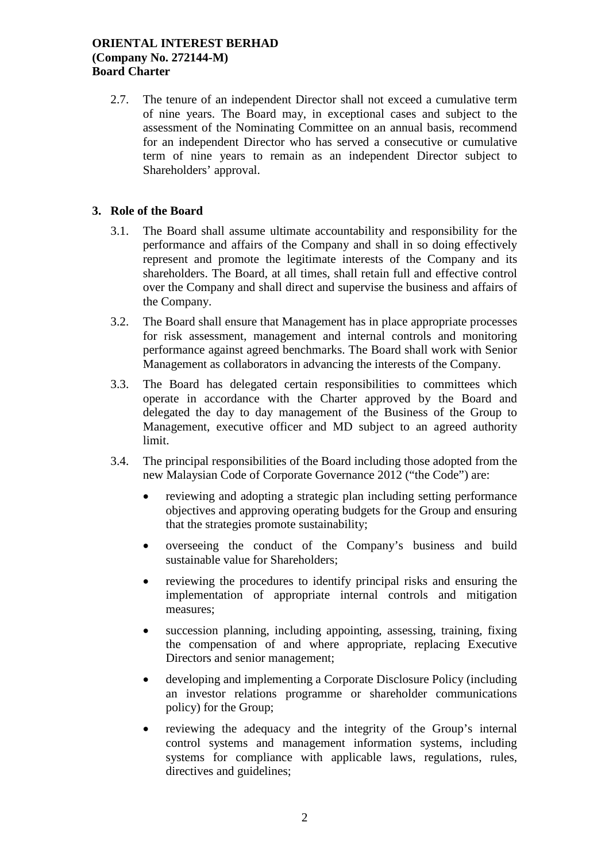2.7. The tenure of an independent Director shall not exceed a cumulative term of nine years. The Board may, in exceptional cases and subject to the assessment of the Nominating Committee on an annual basis, recommend for an independent Director who has served a consecutive or cumulative term of nine years to remain as an independent Director subject to Shareholders' approval.

## **3. Role of the Board**

- 3.1. The Board shall assume ultimate accountability and responsibility for the performance and affairs of the Company and shall in so doing effectively represent and promote the legitimate interests of the Company and its shareholders. The Board, at all times, shall retain full and effective control over the Company and shall direct and supervise the business and affairs of the Company.
- 3.2. The Board shall ensure that Management has in place appropriate processes for risk assessment, management and internal controls and monitoring performance against agreed benchmarks. The Board shall work with Senior Management as collaborators in advancing the interests of the Company.
- 3.3. The Board has delegated certain responsibilities to committees which operate in accordance with the Charter approved by the Board and delegated the day to day management of the Business of the Group to Management, executive officer and MD subject to an agreed authority limit.
- 3.4. The principal responsibilities of the Board including those adopted from the new Malaysian Code of Corporate Governance 2012 ("the Code") are:
	- reviewing and adopting a strategic plan including setting performance objectives and approving operating budgets for the Group and ensuring that the strategies promote sustainability;
	- overseeing the conduct of the Company's business and build sustainable value for Shareholders;
	- reviewing the procedures to identify principal risks and ensuring the implementation of appropriate internal controls and mitigation measures;
	- succession planning, including appointing, assessing, training, fixing the compensation of and where appropriate, replacing Executive Directors and senior management;
	- developing and implementing a Corporate Disclosure Policy (including an investor relations programme or shareholder communications policy) for the Group;
	- reviewing the adequacy and the integrity of the Group's internal control systems and management information systems, including systems for compliance with applicable laws, regulations, rules, directives and guidelines;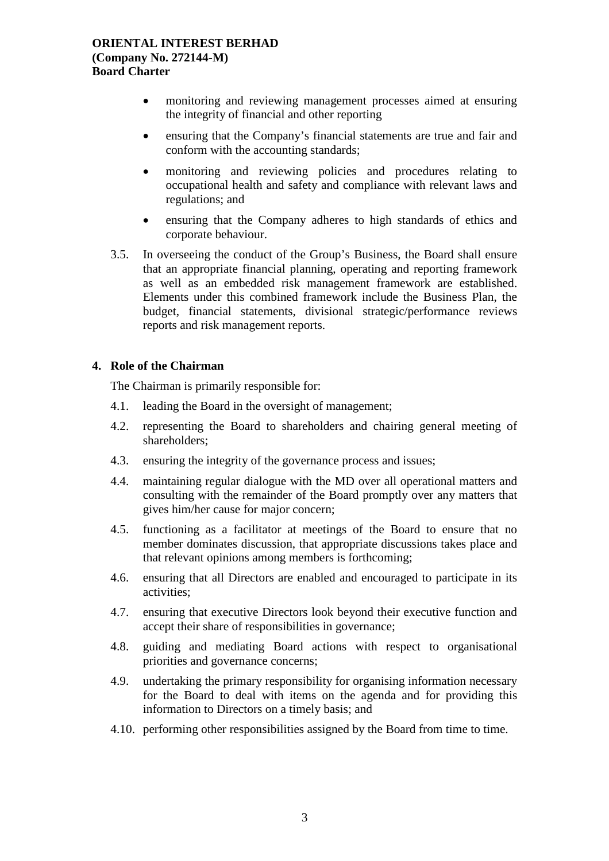- monitoring and reviewing management processes aimed at ensuring the integrity of financial and other reporting
- ensuring that the Company's financial statements are true and fair and conform with the accounting standards;
- monitoring and reviewing policies and procedures relating to occupational health and safety and compliance with relevant laws and regulations; and
- ensuring that the Company adheres to high standards of ethics and corporate behaviour.
- 3.5. In overseeing the conduct of the Group's Business, the Board shall ensure that an appropriate financial planning, operating and reporting framework as well as an embedded risk management framework are established. Elements under this combined framework include the Business Plan, the budget, financial statements, divisional strategic/performance reviews reports and risk management reports.

## **4. Role of the Chairman**

The Chairman is primarily responsible for:

- 4.1. leading the Board in the oversight of management;
- 4.2. representing the Board to shareholders and chairing general meeting of shareholders;
- 4.3. ensuring the integrity of the governance process and issues;
- 4.4. maintaining regular dialogue with the MD over all operational matters and consulting with the remainder of the Board promptly over any matters that gives him/her cause for major concern;
- 4.5. functioning as a facilitator at meetings of the Board to ensure that no member dominates discussion, that appropriate discussions takes place and that relevant opinions among members is forthcoming;
- 4.6. ensuring that all Directors are enabled and encouraged to participate in its activities;
- 4.7. ensuring that executive Directors look beyond their executive function and accept their share of responsibilities in governance;
- 4.8. guiding and mediating Board actions with respect to organisational priorities and governance concerns;
- 4.9. undertaking the primary responsibility for organising information necessary for the Board to deal with items on the agenda and for providing this information to Directors on a timely basis; and
- 4.10. performing other responsibilities assigned by the Board from time to time.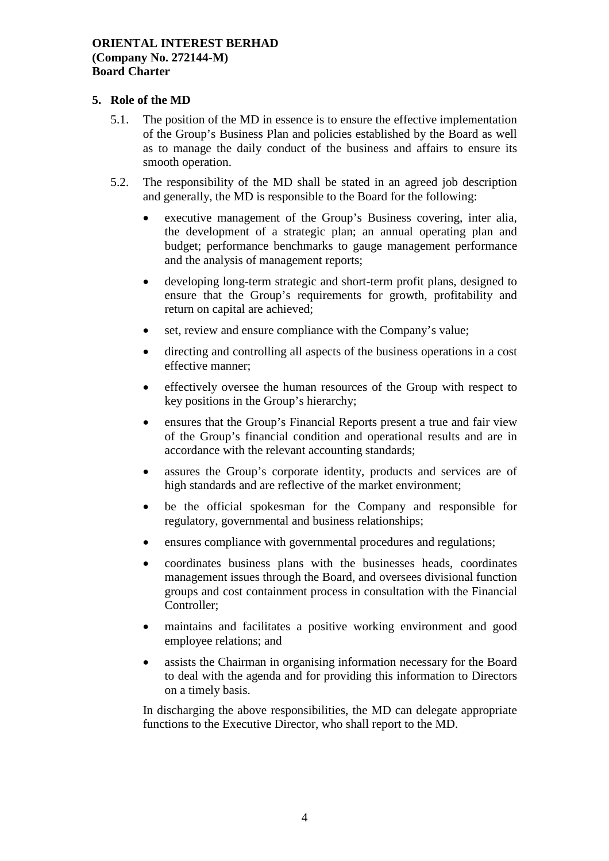## **5. Role of the MD**

- 5.1. The position of the MD in essence is to ensure the effective implementation of the Group's Business Plan and policies established by the Board as well as to manage the daily conduct of the business and affairs to ensure its smooth operation.
- 5.2. The responsibility of the MD shall be stated in an agreed job description and generally, the MD is responsible to the Board for the following:
	- executive management of the Group's Business covering, inter alia, the development of a strategic plan; an annual operating plan and budget; performance benchmarks to gauge management performance and the analysis of management reports;
	- developing long-term strategic and short-term profit plans, designed to ensure that the Group's requirements for growth, profitability and return on capital are achieved;
	- set, review and ensure compliance with the Company's value;
	- directing and controlling all aspects of the business operations in a cost effective manner;
	- effectively oversee the human resources of the Group with respect to key positions in the Group's hierarchy;
	- ensures that the Group's Financial Reports present a true and fair view of the Group's financial condition and operational results and are in accordance with the relevant accounting standards;
	- assures the Group's corporate identity, products and services are of high standards and are reflective of the market environment;
	- be the official spokesman for the Company and responsible for regulatory, governmental and business relationships;
	- ensures compliance with governmental procedures and regulations;
	- coordinates business plans with the businesses heads, coordinates management issues through the Board, and oversees divisional function groups and cost containment process in consultation with the Financial Controller;
	- maintains and facilitates a positive working environment and good employee relations; and
	- assists the Chairman in organising information necessary for the Board to deal with the agenda and for providing this information to Directors on a timely basis.

In discharging the above responsibilities, the MD can delegate appropriate functions to the Executive Director, who shall report to the MD.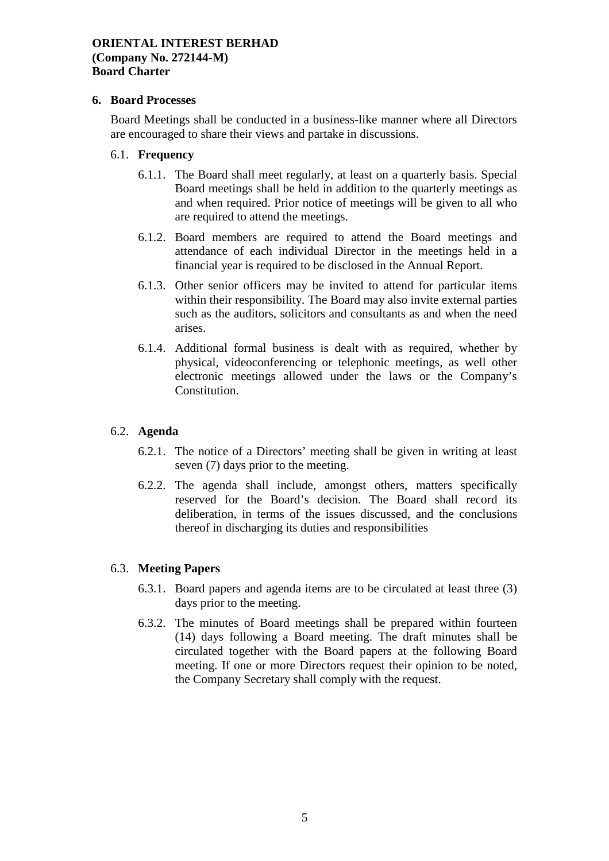### **6. Board Processes**

Board Meetings shall be conducted in a business-like manner where all Directors are encouraged to share their views and partake in discussions.

#### 6.1. **Frequency**

- 6.1.1. The Board shall meet regularly, at least on a quarterly basis. Special Board meetings shall be held in addition to the quarterly meetings as and when required. Prior notice of meetings will be given to all who are required to attend the meetings.
- 6.1.2. Board members are required to attend the Board meetings and attendance of each individual Director in the meetings held in a financial year is required to be disclosed in the Annual Report.
- 6.1.3. Other senior officers may be invited to attend for particular items within their responsibility. The Board may also invite external parties such as the auditors, solicitors and consultants as and when the need arises.
- 6.1.4. Additional formal business is dealt with as required, whether by physical, videoconferencing or telephonic meetings, as well other electronic meetings allowed under the laws or the Company's Constitution.

# 6.2. **Agenda**

- 6.2.1. The notice of a Directors' meeting shall be given in writing at least seven (7) days prior to the meeting.
- 6.2.2. The agenda shall include, amongst others, matters specifically reserved for the Board's decision. The Board shall record its deliberation, in terms of the issues discussed, and the conclusions thereof in discharging its duties and responsibilities

# 6.3. **Meeting Papers**

- 6.3.1. Board papers and agenda items are to be circulated at least three (3) days prior to the meeting.
- 6.3.2. The minutes of Board meetings shall be prepared within fourteen (14) days following a Board meeting. The draft minutes shall be circulated together with the Board papers at the following Board meeting. If one or more Directors request their opinion to be noted, the Company Secretary shall comply with the request.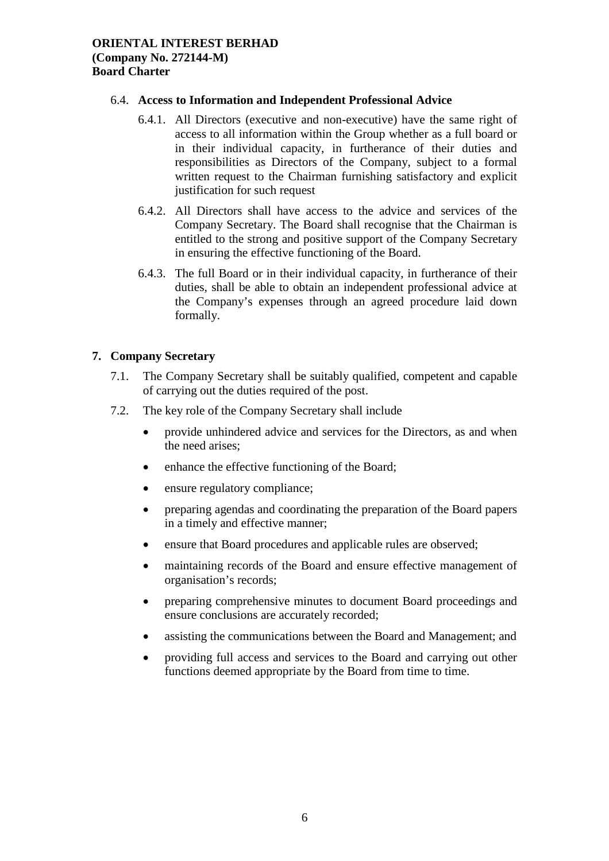### 6.4. **Access to Information and Independent Professional Advice**

- 6.4.1. All Directors (executive and non-executive) have the same right of access to all information within the Group whether as a full board or in their individual capacity, in furtherance of their duties and responsibilities as Directors of the Company, subject to a formal written request to the Chairman furnishing satisfactory and explicit justification for such request
- 6.4.2. All Directors shall have access to the advice and services of the Company Secretary. The Board shall recognise that the Chairman is entitled to the strong and positive support of the Company Secretary in ensuring the effective functioning of the Board.
- 6.4.3. The full Board or in their individual capacity, in furtherance of their duties, shall be able to obtain an independent professional advice at the Company's expenses through an agreed procedure laid down formally.

# **7. Company Secretary**

- 7.1. The Company Secretary shall be suitably qualified, competent and capable of carrying out the duties required of the post.
- 7.2. The key role of the Company Secretary shall include
	- provide unhindered advice and services for the Directors, as and when the need arises;
	- enhance the effective functioning of the Board;
	- ensure regulatory compliance;
	- preparing agendas and coordinating the preparation of the Board papers in a timely and effective manner;
	- ensure that Board procedures and applicable rules are observed;
	- maintaining records of the Board and ensure effective management of organisation's records;
	- preparing comprehensive minutes to document Board proceedings and ensure conclusions are accurately recorded;
	- assisting the communications between the Board and Management; and
	- providing full access and services to the Board and carrying out other functions deemed appropriate by the Board from time to time.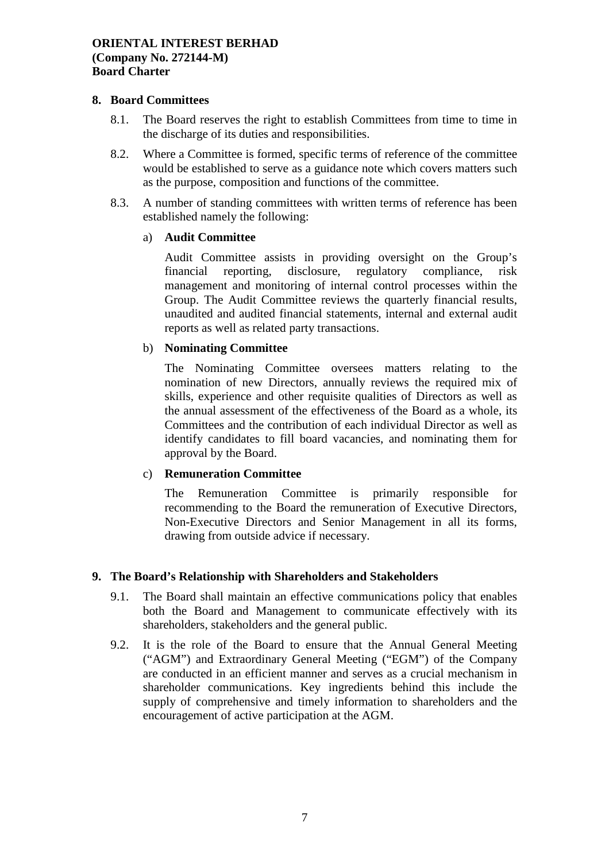### **8. Board Committees**

- 8.1. The Board reserves the right to establish Committees from time to time in the discharge of its duties and responsibilities.
- 8.2. Where a Committee is formed, specific terms of reference of the committee would be established to serve as a guidance note which covers matters such as the purpose, composition and functions of the committee.
- 8.3. A number of standing committees with written terms of reference has been established namely the following:

#### a) **Audit Committee**

Audit Committee assists in providing oversight on the Group's financial reporting, disclosure, regulatory compliance, risk management and monitoring of internal control processes within the Group. The Audit Committee reviews the quarterly financial results, unaudited and audited financial statements, internal and external audit reports as well as related party transactions.

## b) **Nominating Committee**

The Nominating Committee oversees matters relating to the nomination of new Directors, annually reviews the required mix of skills, experience and other requisite qualities of Directors as well as the annual assessment of the effectiveness of the Board as a whole, its Committees and the contribution of each individual Director as well as identify candidates to fill board vacancies, and nominating them for approval by the Board.

# c) **Remuneration Committee**

The Remuneration Committee is primarily responsible for recommending to the Board the remuneration of Executive Directors, Non-Executive Directors and Senior Management in all its forms, drawing from outside advice if necessary.

# **9. The Board's Relationship with Shareholders and Stakeholders**

- 9.1. The Board shall maintain an effective communications policy that enables both the Board and Management to communicate effectively with its shareholders, stakeholders and the general public.
- 9.2. It is the role of the Board to ensure that the Annual General Meeting ("AGM") and Extraordinary General Meeting ("EGM") of the Company are conducted in an efficient manner and serves as a crucial mechanism in shareholder communications. Key ingredients behind this include the supply of comprehensive and timely information to shareholders and the encouragement of active participation at the AGM.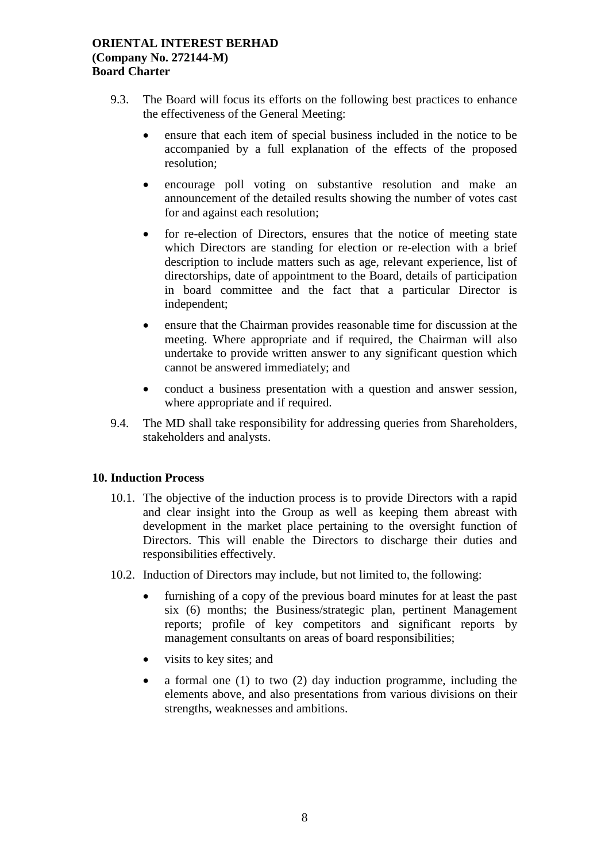- 9.3. The Board will focus its efforts on the following best practices to enhance the effectiveness of the General Meeting:
	- ensure that each item of special business included in the notice to be accompanied by a full explanation of the effects of the proposed resolution;
	- encourage poll voting on substantive resolution and make an announcement of the detailed results showing the number of votes cast for and against each resolution;
	- for re-election of Directors, ensures that the notice of meeting state which Directors are standing for election or re-election with a brief description to include matters such as age, relevant experience, list of directorships, date of appointment to the Board, details of participation in board committee and the fact that a particular Director is independent;
	- ensure that the Chairman provides reasonable time for discussion at the meeting. Where appropriate and if required, the Chairman will also undertake to provide written answer to any significant question which cannot be answered immediately; and
	- conduct a business presentation with a question and answer session, where appropriate and if required.
- 9.4. The MD shall take responsibility for addressing queries from Shareholders, stakeholders and analysts.

# **10. Induction Process**

- 10.1. The objective of the induction process is to provide Directors with a rapid and clear insight into the Group as well as keeping them abreast with development in the market place pertaining to the oversight function of Directors. This will enable the Directors to discharge their duties and responsibilities effectively.
- 10.2. Induction of Directors may include, but not limited to, the following:
	- furnishing of a copy of the previous board minutes for at least the past six (6) months; the Business/strategic plan, pertinent Management reports; profile of key competitors and significant reports by management consultants on areas of board responsibilities;
	- visits to key sites; and
	- a formal one (1) to two (2) day induction programme, including the elements above, and also presentations from various divisions on their strengths, weaknesses and ambitions.